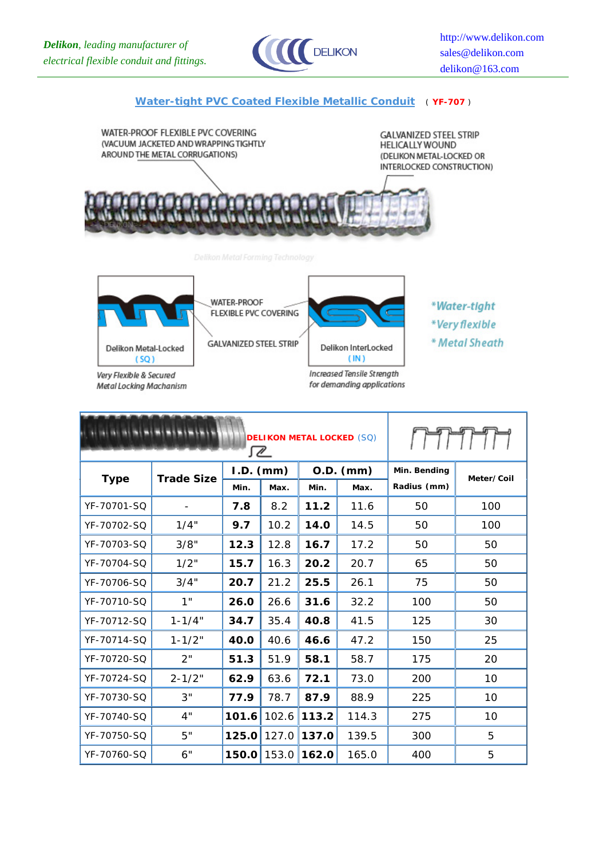

## **Water-tight PVC Coated Flexible Metallic Conduit** ( **YF-707** )





**Metal Locking Machanism** 

**WATER-PROOF** FLEXIBLE PVC COVERING



Delikon InterLocked

Increased Tensile Strength for demanding applications

 $(IN)$ 

- \*Water-tight
- \*Very flexible
- \* Metal Sheath

|             |                   | I MMM.      |       |             |       |              |            |
|-------------|-------------------|-------------|-------|-------------|-------|--------------|------------|
| <b>Type</b> | <b>Trade Size</b> | $I.D.$ (mm) |       | $O.D.$ (mm) |       | Min. Bending | Meter/Coil |
|             |                   | Min.        | Max.  | Min.        | Max.  | Radius (mm)  |            |
| YF-70701-SQ |                   | 7.8         | 8.2   | 11.2        | 11.6  | 50           | 100        |
| YF-70702-SQ | 1/4"              | 9.7         | 10.2  | 14.0        | 14.5  | 50           | 100        |
| YF-70703-SO | 3/8"              | 12.3        | 12.8  | 16.7        | 17.2  | 50           | 50         |
| YF-70704-SO | 1/2"              | 15.7        | 16.3  | 20.2        | 20.7  | 65           | 50         |
| YF-70706-SQ | 3/4"              | 20.7        | 21.2  | 25.5        | 26.1  | 75           | 50         |
| YF-70710-SQ | 1"                | 26.0        | 26.6  | 31.6        | 32.2  | 100          | 50         |
| YF-70712-SQ | $1 - 1/4"$        | 34.7        | 35.4  | 40.8        | 41.5  | 125          | 30         |
| YF-70714-SQ | $1 - 1/2"$        | 40.0        | 40.6  | 46.6        | 47.2  | 150          | 25         |
| YF-70720-SQ | 2"                | 51.3        | 51.9  | 58.1        | 58.7  | 175          | 20         |
| YF-70724-SO | $2 - 1/2"$        | 62.9        | 63.6  | 72.1        | 73.0  | 200          | 10         |
| YF-70730-SQ | 3"                | 77.9        | 78.7  | 87.9        | 88.9  | 225          | 10         |
| YF-70740-SQ | 4"                | 101.6       | 102.6 | 113.2       | 114.3 | 275          | 10         |
| YF-70750-SQ | 5"                | 125.0       | 127.0 | 137.0       | 139.5 | 300          | 5          |
| YF-70760-SQ | 6"                | 150.0       | 153.0 | 162.0       | 165.0 | 400          | 5          |